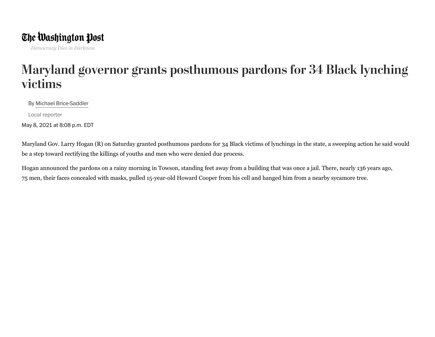## The Washington Post

## aryland<br>ctims<br>Michael Brice-Sad<br>cal reporter *Democracy Dies in Darkness*<br> **[aryland gov<br>** *C***tims**<br> *By* Michael Brice-Saddler<br>
ocal reporter<br> *R*, 2021 at 8:08 p.m. EDT Maryland governor grants posthumous pardons for 34 Black lynching victims

By Michael Brice-Saddler

Local reporter

May 8, 2021 at 8:08 p.m. EDT

Maryland Gov. Larry Hogan (R) on Saturday granted posthumous pardons for 34 Black victims of lynchings in the state, a sweeping action he said would be a step toward rectifying the killings of youths and men who were denied due process.

Hogan announced the pardons on a rainy morning in Towson, standing feet away from a building that was once a jail. There, nearly 136 years ago, 75 men, their faces concealed with masks, pulled 15-year-old Howard Cooper from his cell and hanged him from a nearby sycamore tree.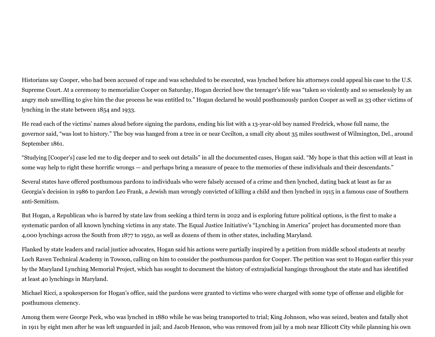Historians say Cooper, who had been [accused](https://www.mdlynchingmemorial.org/howard-cooper-project) of rape and was scheduled to be executed, was lynched before his attorneys could appeal his case to the U.S. Supreme Court. At a ceremony to memorialize Cooper on Saturday, Hogan decried how the teenager's life was "taken so violently and so senselessly by an angry mob unwilling to give him the due process he was entitled to." Hogan declared he would posthumously pardon Cooper as well as 33 other victims of lynching in the state between 1854 and 1933.

He read each of the victims' names aloud before signing the pardons, ending his list with a 13-year-old boy named Fredrick, whose full name, the governor said, "was lost to history." The boy was hanged from a tree in or near Cecilton, a small city about 35 miles southwest of Wilmington, Del., around September 1861.

"Studying [Cooper's] case led me to dig deeper and to seek out details" in all the documented cases, Hogan said. "My hope is that this action will at least in some way help to right these horrific wrongs — and perhaps bring a measure of peace to the memories of these individuals and their descendants."

Several states have offered posthumous pardons to individuals who were falsely accused of a crime and then lynched, dating back at least as far as Georgia's decision in 1986 to pardon Leo Frank, a Jewish man wrongly convicted of killing a child and then lynched in 1915 in a famous case of Southern anti-Semitism.

But Hogan, a Republican who is barred by state law from seeking a third term in 2022 and is exploring future political options, is the first to make a systematic pardon of all known lynching victims in any state. The Equal Justice Initiative's "Lynching in America" project has documented more than 4,000 lynchings across the South from 1877 to 1950, as well as dozens of them in other states, including Maryland.

Flanked by state leaders and racial justice advocates, Hogan said his actions were partially inspired by a petition from middle school students at nearby Loch Raven Technical Academy in Towson, calling on him to consider the posthumous pardon for Cooper. The petition was sent to Hogan earlier this year by the Maryland Lynching Memorial Project, which has sought to document the history of extrajudicial hangings throughout the state and has identified at least 40 lynchings in Maryland.

Michael Ricci, a spokesperson for Hogan's office, said the pardons were granted to victims who were charged with some type of offense and eligible for posthumous clemency.

Among them were George Peck, who was lynched in 1880 while he was being transported to trial; King Johnson, who was seized, beaten and fatally shot in 1911 by eight men after he was left unguarded in jail; and Jacob Henson, who was removed from jail by a mob near Ellicott City while planning his own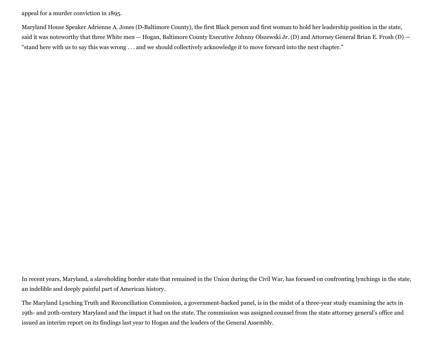appeal for a murder conviction in 1895.

Maryland House Speaker Adrienne A. Jones (D-Baltimore County), the first Black person and first woman to hold her leadership position in the state, said it was noteworthy that three White men — Hogan, Baltimore County Executive Johnny Olszewski Jr. (D) and Attorney General Brian E. Frosh (D) — "stand here with us to say this was wrong . . . and we should collectively acknowledge it to move forward into the next chapter."

In recent years, Maryland, a slaveholding border state that remained in the Union during the Civil War, has focused on confronting lynchings in the state, an indelible and deeply painful part of American history.

The Maryland Lynching Truth and Reconciliation Commission, a government-backed panel, is in the midst of a three-year study examining the acts in 19th- and 20th-century Maryland and the impact it had on the state. The commission was assigned counsel from the state attorney general's office and issued an interim report on its findings last year to Hogan and the leaders of the General Assembly.